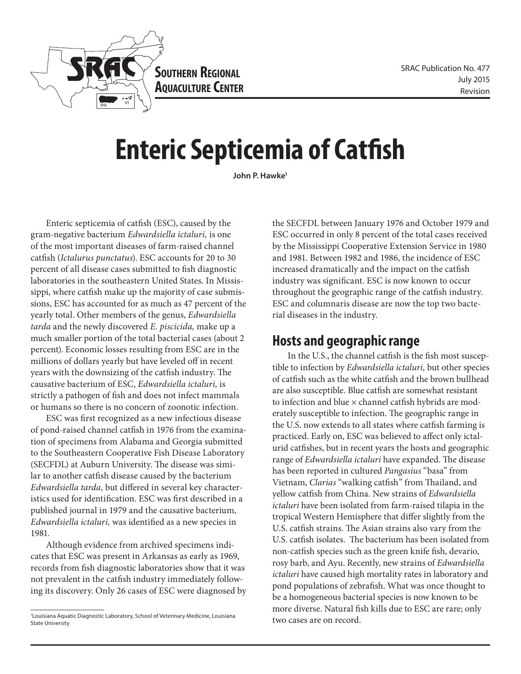

**Southern Regional AQUACULTURE CENTER** 

# **Enteric Septicemia of Catfish**

**John P. Hawke1**

Enteric septicemia of catfish (ESC), caused by the gram-negative bacterium *Edwardsiella ictaluri,* is one of the most important diseases of farm-raised channel catfish (*Ictalurus punctatus*). ESC accounts for 20 to 30 percent of all disease cases submitted to fish diagnostic laboratories in the southeastern United States. In Mississippi, where catfish make up the majority of case submissions, ESC has accounted for as much as 47 percent of the yearly total. Other members of the genus, *Edwardsiella tarda* and the newly discovered *E. piscicida,* make up a much smaller portion of the total bacterial cases (about 2 percent). Economic losses resulting from ESC are in the millions of dollars yearly but have leveled off in recent years with the downsizing of the catfish industry. The causative bacterium of ESC, *Edwardsiella ictaluri,* is strictly a pathogen of fish and does not infect mammals or humans so there is no concern of zoonotic infection.

ESC was first recognized as a new infectious disease of pond-raised channel catfish in 1976 from the examination of specimens from Alabama and Georgia submitted to the Southeastern Cooperative Fish Disease Laboratory (SECFDL) at Auburn University. The disease was similar to another catfish disease caused by the bacterium *Edwardsiella tarda,* but differed in several key characteristics used for identification. ESC was first described in a published journal in 1979 and the causative bacterium, *Edwardsiella ictaluri,* was identified as a new species in 1981.

Although evidence from archived specimens indicates that ESC was present in Arkansas as early as 1969, records from fish diagnostic laboratories show that it was not prevalent in the catfish industry immediately following its discovery. Only 26 cases of ESC were diagnosed by

the SECFDL between January 1976 and October 1979 and ESC occurred in only 8 percent of the total cases received by the Mississippi Cooperative Extension Service in 1980 and 1981. Between 1982 and 1986, the incidence of ESC increased dramatically and the impact on the catfish industry was significant. ESC is now known to occur throughout the geographic range of the catfish industry. ESC and columnaris disease are now the top two bacterial diseases in the industry.

## **Hosts and geographic range**

In the U.S., the channel catfish is the fish most susceptible to infection by *Edwardsiella ictaluri,* but other species of catfish such as the white catfish and the brown bullhead are also susceptible. Blue catfish are somewhat resistant to infection and blue × channel catfish hybrids are moderately susceptible to infection. The geographic range in the U.S. now extends to all states where catfish farming is practiced. Early on, ESC was believed to affect only ictalurid catfishes, but in recent years the hosts and geographic range of *Edwardsiella ictaluri* have expanded. The disease has been reported in cultured *Pangasius* "basa" from Vietnam, *Clarias* "walking catfish" from Thailand, and yellow catfish from China. New strains of *Edwardsiella ictaluri* have been isolated from farm-raised tilapia in the tropical Western Hemisphere that differ slightly from the U.S. catfish strains. The Asian strains also vary from the U.S. catfish isolates. The bacterium has been isolated from non-catfish species such as the green knife fish, devario, rosy barb, and Ayu. Recently, new strains of *Edwardsiella ictaluri* have caused high mortality rates in laboratory and pond populations of zebrafish. What was once thought to be a homogeneous bacterial species is now known to be more diverse. Natural fish kills due to ESC are rare; only two cases are on record.

<sup>1</sup> Louisiana Aquatic Diagnostic Laboratory, School of Veterinary Medicine, Louisiana State University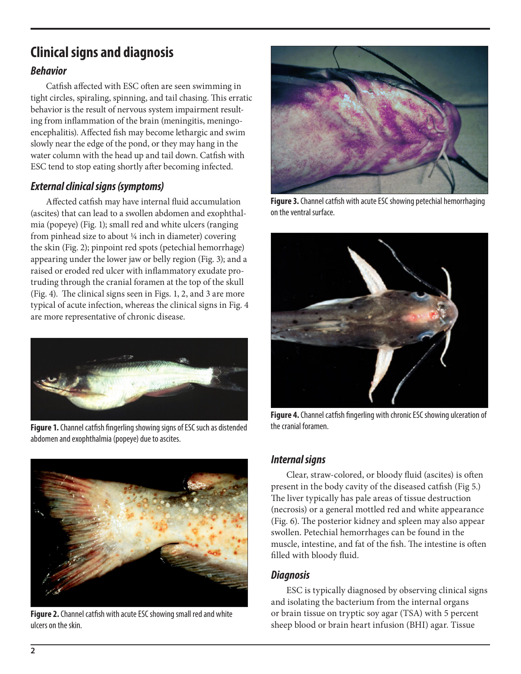# **Clinical signs and diagnosis**

#### *Behavior*

Catfish affected with ESC often are seen swimming in tight circles, spiraling, spinning, and tail chasing. This erratic behavior is the result of nervous system impairment resulting from inflammation of the brain (meningitis, meningoencephalitis). Affected fish may become lethargic and swim slowly near the edge of the pond, or they may hang in the water column with the head up and tail down. Catfish with ESC tend to stop eating shortly after becoming infected.

#### *External clinical signs (symptoms)*

Affected catfish may have internal fluid accumulation (ascites) that can lead to a swollen abdomen and exophthalmia (popeye) (Fig. 1); small red and white ulcers (ranging from pinhead size to about ¼ inch in diameter) covering the skin (Fig. 2); pinpoint red spots (petechial hemorrhage) appearing under the lower jaw or belly region (Fig. 3); and a raised or eroded red ulcer with inflammatory exudate protruding through the cranial foramen at the top of the skull (Fig. 4). The clinical signs seen in Figs. 1, 2, and 3 are more typical of acute infection, whereas the clinical signs in Fig. 4 are more representative of chronic disease.



**Figure 1.** Channel catfish fingerling showing signs of ESC such as distended abdomen and exophthalmia (popeye) due to ascites.



**Figure 2.** Channel catfish with acute ESC showing small red and white ulcers on the skin.



**Figure 3.** Channel catfish with acute ESC showing petechial hemorrhaging on the ventral surface.



**Figure 4.** Channel catfish fingerling with chronic ESC showing ulceration of the cranial foramen.

#### *Internal signs*

Clear, straw-colored, or bloody fluid (ascites) is often present in the body cavity of the diseased catfish (Fig 5.) The liver typically has pale areas of tissue destruction (necrosis) or a general mottled red and white appearance (Fig. 6). The posterior kidney and spleen may also appear swollen. Petechial hemorrhages can be found in the muscle, intestine, and fat of the fish. The intestine is often filled with bloody fluid.

#### *Diagnosis*

ESC is typically diagnosed by observing clinical signs and isolating the bacterium from the internal organs or brain tissue on tryptic soy agar (TSA) with 5 percent sheep blood or brain heart infusion (BHI) agar. Tissue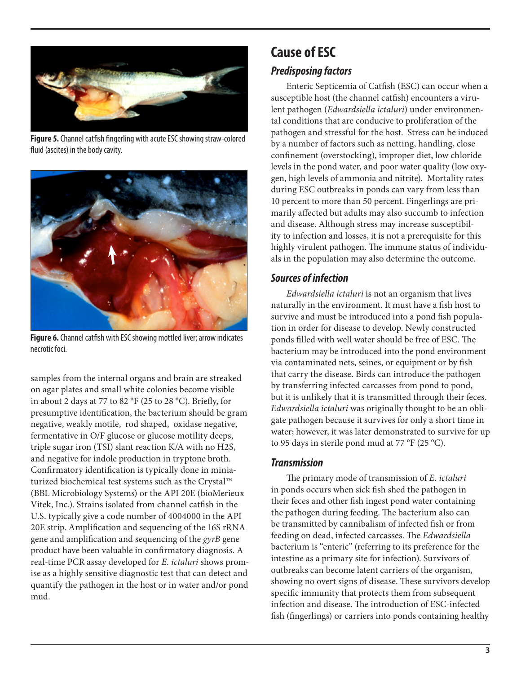

**Figure 5.** Channel catfish fingerling with acute ESC showing straw-colored fluid (ascites) in the body cavity.



**Figure 6.** Channel catfish with ESC showing mottled liver; arrow indicates necrotic foci.

samples from the internal organs and brain are streaked on agar plates and small white colonies become visible in about 2 days at 77 to 82 °F (25 to 28 °C). Briefly, for presumptive identification, the bacterium should be gram negative, weakly motile, rod shaped, oxidase negative, fermentative in O/F glucose or glucose motility deeps, triple sugar iron (TSI) slant reaction K/A with no H2S, and negative for indole production in tryptone broth. Confirmatory identification is typically done in miniaturized biochemical test systems such as the Crystal™ (BBL Microbiology Systems) or the API 20E (bioMerieux Vitek, Inc.). Strains isolated from channel catfish in the U.S. typically give a code number of 4004000 in the API 20E strip. Amplification and sequencing of the 16S rRNA gene and amplification and sequencing of the *gyrB* gene product have been valuable in confirmatory diagnosis. A real-time PCR assay developed for *E. ictaluri* shows promise as a highly sensitive diagnostic test that can detect and quantify the pathogen in the host or in water and/or pond mud.

# **Cause of ESC**

#### *Predisposing factors*

Enteric Septicemia of Catfish (ESC) can occur when a susceptible host (the channel catfish) encounters a virulent pathogen (*Edwardsiella ictaluri*) under environmental conditions that are conducive to proliferation of the pathogen and stressful for the host. Stress can be induced by a number of factors such as netting, handling, close confinement (overstocking), improper diet, low chloride levels in the pond water, and poor water quality (low oxygen, high levels of ammonia and nitrite). Mortality rates during ESC outbreaks in ponds can vary from less than 10 percent to more than 50 percent. Fingerlings are primarily affected but adults may also succumb to infection and disease. Although stress may increase susceptibility to infection and losses, it is not a prerequisite for this highly virulent pathogen. The immune status of individuals in the population may also determine the outcome.

#### *Sources of infection*

*Edwardsiella ictaluri* is not an organism that lives naturally in the environment. It must have a fish host to survive and must be introduced into a pond fish population in order for disease to develop. Newly constructed ponds filled with well water should be free of ESC. The bacterium may be introduced into the pond environment via contaminated nets, seines, or equipment or by fish that carry the disease. Birds can introduce the pathogen by transferring infected carcasses from pond to pond, but it is unlikely that it is transmitted through their feces. *Edwardsiella ictaluri* was originally thought to be an obligate pathogen because it survives for only a short time in water; however, it was later demonstrated to survive for up to 95 days in sterile pond mud at 77 °F (25 °C).

#### *Transmission*

The primary mode of transmission of *E. ictaluri*  in ponds occurs when sick fish shed the pathogen in their feces and other fish ingest pond water containing the pathogen during feeding. The bacterium also can be transmitted by cannibalism of infected fish or from feeding on dead, infected carcasses. The *Edwardsiella* bacterium is "enteric" (referring to its preference for the intestine as a primary site for infection). Survivors of outbreaks can become latent carriers of the organism, showing no overt signs of disease. These survivors develop specific immunity that protects them from subsequent infection and disease. The introduction of ESC-infected fish (fingerlings) or carriers into ponds containing healthy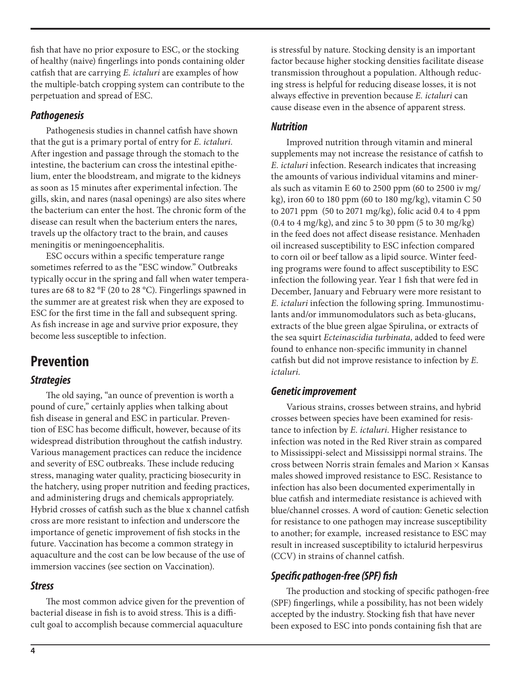fish that have no prior exposure to ESC, or the stocking of healthy (naive) fingerlings into ponds containing older catfish that are carrying *E. ictaluri* are examples of how the multiple-batch cropping system can contribute to the perpetuation and spread of ESC.

#### *Pathogenesis*

Pathogenesis studies in channel catfish have shown that the gut is a primary portal of entry for *E. ictaluri.*  After ingestion and passage through the stomach to the intestine, the bacterium can cross the intestinal epithelium, enter the bloodstream, and migrate to the kidneys as soon as 15 minutes after experimental infection. The gills, skin, and nares (nasal openings) are also sites where the bacterium can enter the host. The chronic form of the disease can result when the bacterium enters the nares, travels up the olfactory tract to the brain, and causes meningitis or meningoencephalitis.

ESC occurs within a specific temperature range sometimes referred to as the "ESC window." Outbreaks typically occur in the spring and fall when water temperatures are 68 to 82 °F (20 to 28 °C). Fingerlings spawned in the summer are at greatest risk when they are exposed to ESC for the first time in the fall and subsequent spring. As fish increase in age and survive prior exposure, they become less susceptible to infection.

# **Prevention**

#### *Strategies*

The old saying, "an ounce of prevention is worth a pound of cure," certainly applies when talking about fish disease in general and ESC in particular. Prevention of ESC has become difficult, however, because of its widespread distribution throughout the catfish industry. Various management practices can reduce the incidence and severity of ESC outbreaks. These include reducing stress, managing water quality, practicing biosecurity in the hatchery, using proper nutrition and feeding practices, and administering drugs and chemicals appropriately. Hybrid crosses of catfish such as the blue x channel catfish cross are more resistant to infection and underscore the importance of genetic improvement of fish stocks in the future. Vaccination has become a common strategy in aquaculture and the cost can be low because of the use of immersion vaccines (see section on Vaccination).

#### *Stress*

The most common advice given for the prevention of bacterial disease in fish is to avoid stress. This is a difficult goal to accomplish because commercial aquaculture

is stressful by nature. Stocking density is an important factor because higher stocking densities facilitate disease transmission throughout a population. Although reducing stress is helpful for reducing disease losses, it is not always effective in prevention because *E. ictaluri* can cause disease even in the absence of apparent stress.

#### *Nutrition*

Improved nutrition through vitamin and mineral supplements may not increase the resistance of catfish to *E. ictaluri* infection. Research indicates that increasing the amounts of various individual vitamins and minerals such as vitamin E 60 to 2500 ppm (60 to 2500 iv mg/ kg), iron 60 to 180 ppm (60 to 180 mg/kg), vitamin  $C$  50 to 2071 ppm (50 to 2071 mg/kg), folic acid 0.4 to 4 ppm  $(0.4 \text{ to } 4 \text{ mg/kg})$ , and zinc 5 to 30 ppm  $(5 \text{ to } 30 \text{ mg/kg})$ in the feed does not affect disease resistance. Menhaden oil increased susceptibility to ESC infection compared to corn oil or beef tallow as a lipid source. Winter feeding programs were found to affect susceptibility to ESC infection the following year. Year 1 fish that were fed in December, January and February were more resistant to *E. ictaluri* infection the following spring. Immunostimulants and/or immunomodulators such as beta-glucans, extracts of the blue green algae Spirulina, or extracts of the sea squirt *Ecteinascidia turbinata,* added to feed were found to enhance non-specific immunity in channel catfish but did not improve resistance to infection by *E. ictaluri.* 

#### *Genetic improvement*

Various strains, crosses between strains, and hybrid crosses between species have been examined for resistance to infection by *E. ictaluri*. Higher resistance to infection was noted in the Red River strain as compared to Mississippi-select and Mississippi normal strains. The cross between Norris strain females and Marion × Kansas males showed improved resistance to ESC. Resistance to infection has also been documented experimentally in blue catfish and intermediate resistance is achieved with blue/channel crosses. A word of caution: Genetic selection for resistance to one pathogen may increase susceptibility to another; for example, increased resistance to ESC may result in increased susceptibility to ictalurid herpesvirus (CCV) in strains of channel catfish.

#### *Specific pathogen-free (SPF) fish*

The production and stocking of specific pathogen-free (SPF) fingerlings, while a possibility, has not been widely accepted by the industry. Stocking fish that have never been exposed to ESC into ponds containing fish that are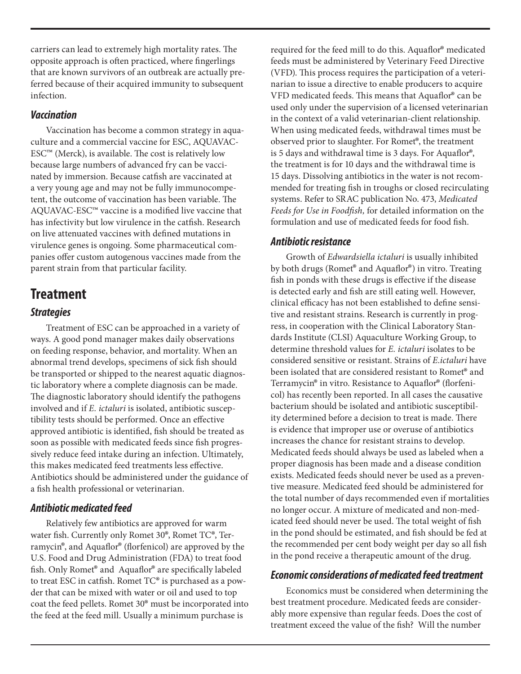carriers can lead to extremely high mortality rates. The opposite approach is often practiced, where fingerlings that are known survivors of an outbreak are actually preferred because of their acquired immunity to subsequent infection.

#### *Vaccination*

Vaccination has become a common strategy in aquaculture and a commercial vaccine for ESC, AQUAVAC- $\text{ESC}^{\text{TM}}$  (Merck), is available. The cost is relatively low because large numbers of advanced fry can be vaccinated by immersion. Because catfish are vaccinated at a very young age and may not be fully immunocompetent, the outcome of vaccination has been variable. The AQUAVAC-ESC™ vaccine is a modified live vaccine that has infectivity but low virulence in the catfish. Research on live attenuated vaccines with defined mutations in virulence genes is ongoing. Some pharmaceutical companies offer custom autogenous vaccines made from the parent strain from that particular facility.

### **Treatment**

#### *Strategies*

Treatment of ESC can be approached in a variety of ways. A good pond manager makes daily observations on feeding response, behavior, and mortality. When an abnormal trend develops, specimens of sick fish should be transported or shipped to the nearest aquatic diagnostic laboratory where a complete diagnosis can be made. The diagnostic laboratory should identify the pathogens involved and if *E. ictaluri* is isolated, antibiotic susceptibility tests should be performed. Once an effective approved antibiotic is identified, fish should be treated as soon as possible with medicated feeds since fish progressively reduce feed intake during an infection. Ultimately, this makes medicated feed treatments less effective. Antibiotics should be administered under the guidance of a fish health professional or veterinarian.

#### *Antibiotic medicated feed*

Relatively few antibiotics are approved for warm water fish. Currently only Romet 30®, Romet TC®, Terramycin®, and Aquaflor® (florfenicol) are approved by the U.S. Food and Drug Administration (FDA) to treat food fish. Only Romet® and Aquaflor® are specifically labeled to treat ESC in catfish. Romet TC® is purchased as a powder that can be mixed with water or oil and used to top coat the feed pellets. Romet 30® must be incorporated into the feed at the feed mill. Usually a minimum purchase is

required for the feed mill to do this. Aquaflor® medicated feeds must be administered by Veterinary Feed Directive (VFD). This process requires the participation of a veterinarian to issue a directive to enable producers to acquire VFD medicated feeds. This means that Aquaflor® can be used only under the supervision of a licensed veterinarian in the context of a valid veterinarian-client relationship. When using medicated feeds, withdrawal times must be observed prior to slaughter. For Romet®, the treatment is 5 days and withdrawal time is 3 days. For Aquaflor®, the treatment is for 10 days and the withdrawal time is 15 days. Dissolving antibiotics in the water is not recommended for treating fish in troughs or closed recirculating systems. Refer to SRAC publication No. 473, *Medicated Feeds for Use in Foodfish,* for detailed information on the formulation and use of medicated feeds for food fish.

#### *Antibiotic resistance*

Growth of *Edwardsiella ictaluri* is usually inhibited by both drugs (Romet® and Aquaflor®) in vitro. Treating fish in ponds with these drugs is effective if the disease is detected early and fish are still eating well. However, clinical efficacy has not been established to define sensitive and resistant strains. Research is currently in progress, in cooperation with the Clinical Laboratory Standards Institute (CLSI) Aquaculture Working Group, to determine threshold values for *E. ictaluri* isolates to be considered sensitive or resistant. Strains of *E.ictaluri* have been isolated that are considered resistant to Romet® and Terramycin® in vitro. Resistance to Aquaflor® (florfenicol) has recently been reported. In all cases the causative bacterium should be isolated and antibiotic susceptibility determined before a decision to treat is made. There is evidence that improper use or overuse of antibiotics increases the chance for resistant strains to develop. Medicated feeds should always be used as labeled when a proper diagnosis has been made and a disease condition exists. Medicated feeds should never be used as a preventive measure. Medicated feed should be administered for the total number of days recommended even if mortalities no longer occur. A mixture of medicated and non-medicated feed should never be used. The total weight of fish in the pond should be estimated, and fish should be fed at the recommended per cent body weight per day so all fish in the pond receive a therapeutic amount of the drug.

#### *Economic considerations of medicated feed treatment*

Economics must be considered when determining the best treatment procedure. Medicated feeds are considerably more expensive than regular feeds. Does the cost of treatment exceed the value of the fish? Will the number